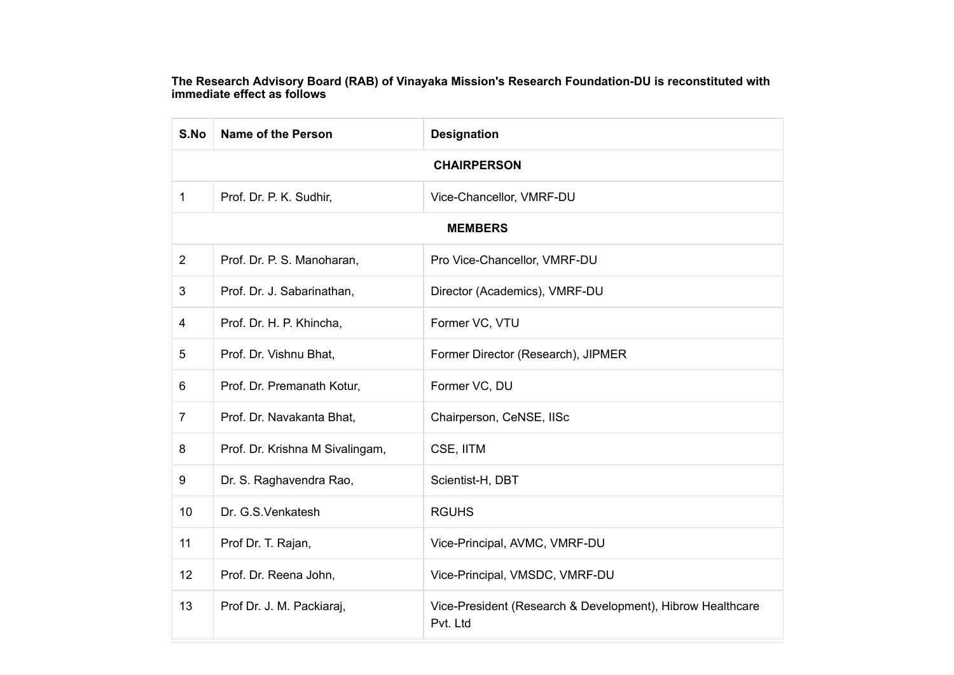The Research Advisory Board (RAB) of Vinayaka Mission's Research Foundation-DU is reconstituted with immediate effect as follows

| S.No               | Name of the Person              | <b>Designation</b>                                                     |
|--------------------|---------------------------------|------------------------------------------------------------------------|
| <b>CHAIRPERSON</b> |                                 |                                                                        |
| $\mathbf{1}$       | Prof. Dr. P. K. Sudhir,         | Vice-Chancellor, VMRF-DU                                               |
| <b>MEMBERS</b>     |                                 |                                                                        |
| $\overline{2}$     | Prof. Dr. P. S. Manoharan,      | Pro Vice-Chancellor, VMRF-DU                                           |
| 3                  | Prof. Dr. J. Sabarinathan,      | Director (Academics), VMRF-DU                                          |
| 4                  | Prof. Dr. H. P. Khincha,        | Former VC, VTU                                                         |
| 5                  | Prof. Dr. Vishnu Bhat,          | Former Director (Research), JIPMER                                     |
| 6                  | Prof. Dr. Premanath Kotur,      | Former VC, DU                                                          |
| $\overline{7}$     | Prof. Dr. Navakanta Bhat,       | Chairperson, CeNSE, IISc                                               |
| 8                  | Prof. Dr. Krishna M Sivalingam, | CSE, IITM                                                              |
| 9                  | Dr. S. Raghavendra Rao,         | Scientist-H, DBT                                                       |
| 10                 | Dr. G.S.Venkatesh               | <b>RGUHS</b>                                                           |
| 11                 | Prof Dr. T. Rajan,              | Vice-Principal, AVMC, VMRF-DU                                          |
| 12                 | Prof. Dr. Reena John,           | Vice-Principal, VMSDC, VMRF-DU                                         |
| 13                 | Prof Dr. J. M. Packiaraj,       | Vice-President (Research & Development), Hibrow Healthcare<br>Pvt. Ltd |